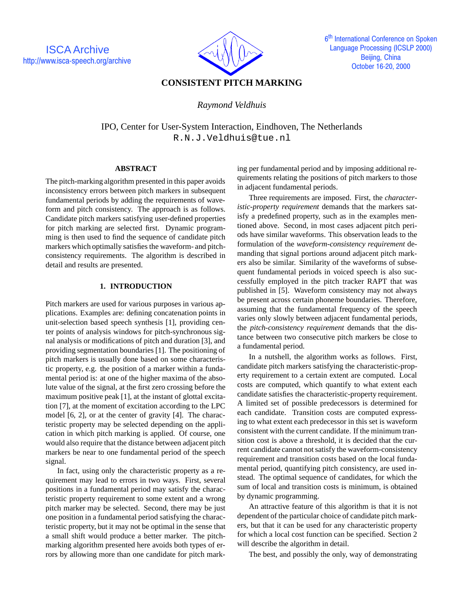

# **CONSISTENT PITCH MARKING**

*Raymond Veldhuis*

IPO, Center for User-System Interaction, Eindhoven, The Netherlands R.N.J.Veldhuis@tue.nl

### **ABSTRACT**

The pitch-marking algorithm presented in this paper avoids inconsistency errors between pitch markers in subsequent fundamental periods by adding the requirements of waveform and pitch consistency. The approach is as follows. Candidate pitch markers satisfying user-defined properties for pitch marking are selected first. Dynamic programming is then used to find the sequence of candidate pitch markers which optimally satisfies the waveform- and pitchconsistency requirements. The algorithm is described in detail and results are presented.

## **1. INTRODUCTION**

Pitch markers are used for various purposes in various applications. Examples are: defining concatenation points in unit-selection based speech synthesis [1], providing center points of analysis windows for pitch-synchronous signal analysis or modifications of pitch and duration [3], and providing segmentation boundaries [1]. The positioning of pitch markers is usually done based on some characteristic property, e.g. the position of a marker within a fundamental period is: at one of the higher maxima of the absolute value of the signal, at the first zero crossing before the maximum positive peak [1], at the instant of glottal excitation [7], at the moment of excitation according to the LPC model [6, 2], or at the center of gravity [4]. The characteristic property may be selected depending on the application in which pitch marking is applied. Of course, one would also require that the distance between adjacent pitch markers be near to one fundamental period of the speech signal.

In fact, using only the characteristic property as a requirement may lead to errors in two ways. First, several positions in a fundamental period may satisfy the characteristic property requirement to some extent and a wrong pitch marker may be selected. Second, there may be just one position in a fundamental period satisfying the characteristic property, but it may not be optimal in the sense that a small shift would produce a better marker. The pitchmarking algorithm presented here avoids both types of errors by allowing more than one candidate for pitch marking per fundamental period and by imposing additional requirements relating the positions of pitch markers to those in adjacent fundamental periods.

Three requirements are imposed. First, the *characteristic-property requirement* demands that the markers satisfy a predefined property, such as in the examples mentioned above. Second, in most cases adjacent pitch periods have similar waveforms. This observation leads to the formulation of the *waveform-consistency requirement* demanding that signal portions around adjacent pitch markers also be similar. Similarity of the waveforms of subsequent fundamental periods in voiced speech is also successfully employed in the pitch tracker RAPT that was published in [5]. Waveform consistency may not always be present across certain phoneme boundaries. Therefore, assuming that the fundamental frequency of the speech varies only slowly between adjacent fundamental periods, the *pitch-consistency requirement* demands that the distance between two consecutive pitch markers be close to a fundamental period.

In a nutshell, the algorithm works as follows. First, candidate pitch markers satisfying the characteristic-property requirement to a certain extent are computed. Local costs are computed, which quantify to what extent each candidate satisfies the characteristic-property requirement. A limited set of possible predecessors is determined for each candidate. Transition costs are computed expressing to what extent each predecessor in this set is waveform consistent with the current candidate. If the minimum transition cost is above a threshold, it is decided that the current candidate cannot not satisfy the waveform-consistency requirement and transition costs based on the local fundamental period, quantifying pitch consistency, are used instead. The optimal sequence of candidates, for which the sum of local and transition costs is minimum, is obtained by dynamic programming.

An attractive feature of this algorithm is that it is not dependent of the particular choice of candidate pitch markers, but that it can be used for any characteristic property for which a local cost function can be specified. Section 2 will describe the algorithm in detail.

The best, and possibly the only, way of demonstrating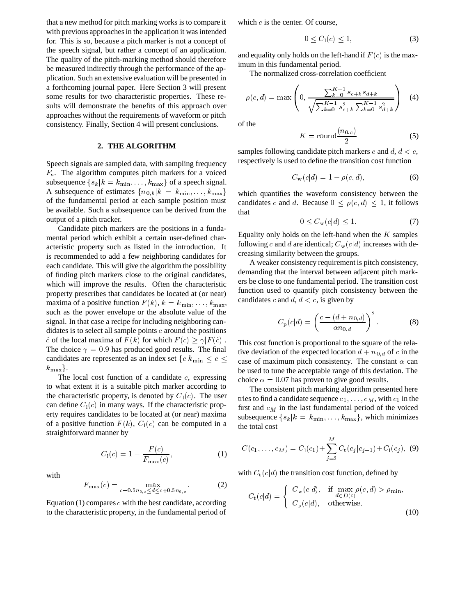that a new method for pitch marking works is to compare it with previous approaches in the application it was intended for. This is so, because a pitch marker is not a concept of the speech signal, but rather a concept of an application. The quality of the pitch-marking method should therefore be measured indirectly through the performance of the application. Such an extensive evaluation will be presented in a forthcoming journal paper. Here Section 3 will present some results for two characteristic properties. These results will demonstrate the benefits of this approach over approaches without the requirements of waveform or pitch consistency. Finally, Section 4 will present conclusions.

#### **2. THE ALGORITHM**

Speech signals are sampled data, with sampling frequency  $F_s$ . The algorithm computes pitch markers for a voiced subsequence  $\{s_k | k = k_{\min}, \ldots, k_{\max}\}$  of a speech signal. A subsequence of estimates  ${n_{0,k}|k = k_{\min},...,k_{\max}}$ of the fundamental period at each sample position must be available. Such a subsequence can be derived from the output of a pitch tracker.

Candidate pitch markers are the positions in a fundamental period which exhibit a certain user-defined characteristic property such as listed in the introduction. It is recommended to add a few neighboring candidates for each candidate. This will give the algorithm the possibility of finding pitch markers close to the original candidates, which will improve the results. Often the characteristic property prescribes that candidates be located at (or near) maxima of a positive function  $F(k)$ ,  $k = k_{\min}, \ldots, k_{\max}$ , such as the power envelope or the absolute value of the signal. In that case a recipe for including neighboring candidates is to select all sample points  $c$  around the positions  $\hat{c}$  of the local maxima of  $F (k)$  for which  $F (c) > \gamma |F(\hat{c})|$ . The choice  $\gamma = 0.9$  has produced good results. The final candidates are represented as an index set  ${c | k_{\min} \leq c \leq}$  $k_{\text{max}}$ .

The local cost function of a candidate  $c$ , expressing to what extent it is a suitable pitch marker according to the characteristic property, is denoted by  $C_1(c)$ . The user can define  $C_1(c)$  in many ways. If the characteristic property requires candidates to be located at (or near) maxima of a positive function  $F(k)$ ,  $C_1(c)$  can be computed in a straightforward manner by

$$
C_1(c) = 1 - \frac{F(c)}{F_{\text{max}}(c)},
$$
 (1)

with

$$
F_{\max}(c) = \max_{c - 0.5n_{0,c} \le d \le c + 0.5n_{0,c}}.
$$
 (2)

Equation  $(1)$  compares c with the best candidate, according to the characteristic property, in the fundamental period of which  $c$  is the center. Of course,

$$
0 \le C_1(c) \le 1,\tag{3}
$$

and equality only holds on the left-hand if  $F(c)$  is the maximum in this fundamental period.

The normalized cross-correlation coefficient

$$
\rho(c,d) = \max\left(0, \frac{\sum_{k=0}^{K-1} s_{c+k} s_{d+k}}{\sqrt{\sum_{k=0}^{K-1} s_{c+k}^2 \sum_{k=0}^{K-1} s_{d+k}^2}}\right) \quad (4)
$$

of the

$$
K = \text{round}\frac{(n_{0,c})}{2} \tag{5}
$$

samples following candidate pitch markers c and  $d, d < c$ , respectively is used to define the transition cost function

$$
C_{\rm w}(c|d) = 1 - \rho(c, d),\tag{6}
$$

which quantifies the waveform consistency between the candidates c and d. Because  $0 \le \rho(c, d) \le 1$ , it follows that

$$
0 \le C_{\rm w}(c|d) \le 1. \tag{7}
$$

Equality only holds on the left-hand when the  $K$  samples following c and d are identical;  $C_w(c|d)$  increases with decreasing similarity between the groups.

A weaker consistency requirement is pitch consistency, demanding that the interval between adjacent pitch markers be close to one fundamental period. The transition cost function used to quantify pitch consistency between the candidates c and d,  $d < c$ , is given by

$$
C_{\rm p}(c|d) = \left(\frac{c - (d + n_{0,d})}{\alpha n_{0,d}}\right)^2.
$$
 (8)

This cost function is proportional to the square of the relative deviation of the expected location  $d + n_{0,d}$  of c in the case of maximum pitch consistency. The constant  $\alpha$  can be used to tune the acceptable range of this deviation. The choice  $\alpha = 0.07$  has proven to give good results.

The consistent pitch marking algorithm presented here tries to find a candidate sequence  $c_1$ ,  $\ldots$ ,  $c_M$ , with  $c_1$  in the first and  $c_M$  in the last fundamental period of the voiced subsequence  $\{s_k|k = k_{\min},\ldots,k_{\max}\}\$ , which minimizes the total cost

$$
C(c_1,\ldots,c_M) = C_1(c_1) + \sum_{j=2}^{M} C_t(c_j|c_{j-1}) + C_1(c_j), \quad (9)
$$

with  $C_t(c|d)$  the transition cost function, defined by

$$
C_{t}(c|d) = \begin{cases} C_{w}(c|d), & \text{if } \max_{d \in D(c)} \rho(c, d) > \rho_{\min}, \\ C_{p}(c|d), & \text{otherwise.} \end{cases}
$$
(10)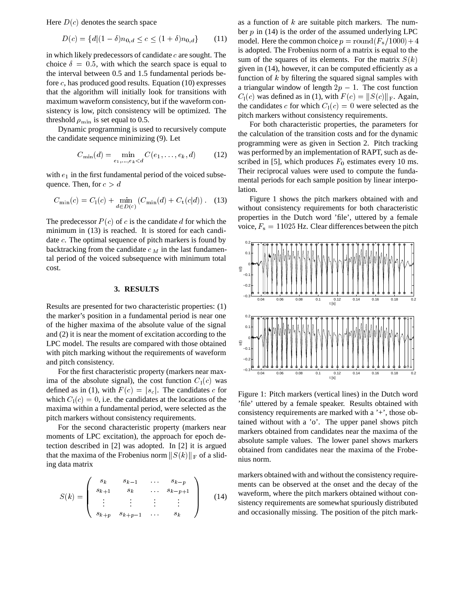Here  $D(c)$  denotes the search space

$$
D(c) = \{d | (1 - \delta)n_{0,d} \le c \le (1 + \delta)n_{0,d}\}
$$
 (11)

in which likely predecessors of candidate  $c$  are sought. The choice  $\delta = 0.5$ , with which the search space is equal to the interval between 0.5 and 1.5 fundamental periods before  $c$ , has produced good results. Equation (10) expresses that the algorithm will initially look for transitions with maximum waveform consistency, but if the waveform consistency is low, pitch consistency will be optimized. The threshold  $\rho_{\min}$  is set equal to 0.5.

Dynamic programming is used to recursively compute the candidate sequence minimizing (9). Let

$$
C_{\min}(d) = \min_{e_1, ..., e_k < d} C(e_1, ..., e_k, d) \tag{12}
$$

with  $e_1$  in the first fundamental period of the voiced subsequence. Then, for  $c > d$ 

$$
C_{\min}(c) = C_1(c) + \min_{d \in D(c)} (C_{\min}(d) + C_{t}(c|d)). \quad (13)
$$

The predecessor  $P(c)$  of c is the candidate d for which the minimum in (13) is reached. It is stored for each candidate <sup>c</sup>. The optimal sequence of pitch markers is found by backtracking from the candidate  $c_M$  in the last fundamental period of the voiced subsequence with minimum total cost.

#### **3. RESULTS**

Results are presented for two characteristic properties: (1) the marker's position in a fundamental period is near one of the higher maxima of the absolute value of the signal and (2) it is near the moment of excitation according to the LPC model. The results are compared with those obtained with pitch marking without the requirements of waveform and pitch consistency.

For the first characteristic property (markers near maxima of the absolute signal), the cost function  $C_1(c)$  was defined as in (1), with  $F(c) = |s_c|$ . The candidates c for which  $C_1(c)=0$ , i.e. the candidates at the locations of the maxima within a fundamental period, were selected as the pitch markers without consistency requirements.

For the second characteristic property (markers near moments of LPC excitation), the approach for epoch detection described in [2] was adopted. In [2] it is argued that the maxima of the Frobenius norm  $||S(k)||_F$  of a sliding data matrix

$$
S(k) = \begin{pmatrix} s_k & s_{k-1} & \dots & s_{k-p} \\ s_{k+1} & s_k & \dots & s_{k-p+1} \\ \vdots & \vdots & \vdots & \vdots \\ s_{k+p} & s_{k+p-1} & \dots & s_k \end{pmatrix}
$$
 (14)

as a function of  $k$  are suitable pitch markers. The number  $p$  in (14) is the order of the assumed underlying LPC model. Here the common choice  $p = \text{round}(F_s/1000) + 4$ is adopted. The Frobenius norm of a matrix is equal to the sum of the squares of its elements. For the matrix  $S(k)$ given in (14), however, it can be computed efficiently as a function of  $k$  by filtering the squared signal samples with a triangular window of length  $2p - 1$ . The cost function  $C_1(c)$  was defined as in (1), with  $F(c) = ||S(c)||_F$ . Again, the candidates c for which  $C_1(c)=0$  were selected as the pitch markers without consistency requirements.

For both characteristic properties, the parameters for the calculation of the transition costs and for the dynamic programming were as given in Section 2. Pitch tracking was performed by an implementation of RAPT, such as described in [5], which produces  $F_0$  estimates every 10 ms. Their reciprocal values were used to compute the fundamental periods for each sample position by linear interpolation.

Figure 1 shows the pitch markers obtained with and without consistency requirements for both characteristic properties in the Dutch word 'file', uttered by a female voice,  $F_s = 11025$  Hz. Clear differences between the pitch



Figure 1: Pitch markers (vertical lines) in the Dutch word 'file' uttered by a female speaker. Results obtained with consistency requirements are marked with a '+', those obtained without with a 'o'. The upper panel shows pitch markers obtained from candidates near the maxima of the absolute sample values. The lower panel shows markers obtained from candidates near the maxima of the Frobenius norm.

markers obtained with and without the consistency require- $\left| \right|_{(1/4)}$  waveform, where the pitch markers obtained without consistency requirements are somewhat spuriously distributed ments can be observed at the onset and the decay of the and occasionally missing. The position of the pitch mark